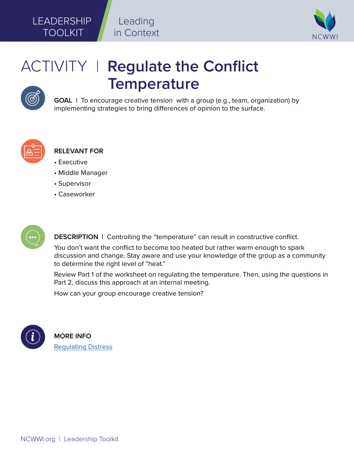

# ACTIVITY | **Regulate the Conflict Temperature**

**GOAL** | To encourage creative tension with a group (e.g., team, organization) by implementing strategies to bring differences of opinion to the surface.



**RELEVANT FOR**

• Executive

LEADERSHIP

TOOLKIT

- Middle Manager
- Supervisor
- Caseworker



**DESCRIPTION** | Controlling the "temperature" can result in constructive conflict.

You don't want the conflict to become too heated but rather warm enough to spark discussion and change. Stay aware and use your knowledge of the group as a community to determine the right level of "heat."

Review Part 1 of the worksheet on regulating the temperature. Then, using the questions in Part 2, discuss this approach at an internal meeting.

How can your group encourage creative tension?



**MORE INFO**  [Regulating Distress](http://courses.ncwwi.org/course/view.php?id=57)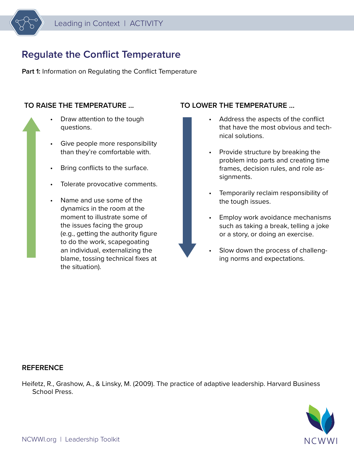

# **Regulate the Conflict Temperature**

**Part 1:** Information on Regulating the Conflict Temperature

### **TO RAISE THE TEMPERATURE …**

- Draw attention to the tough questions.
- Give people more responsibility than they're comfortable with.
- Bring conflicts to the surface.
- Tolerate provocative comments.
- Name and use some of the dynamics in the room at the moment to illustrate some of the issues facing the group (e.g., getting the authority figure to do the work, scapegoating an individual, externalizing the blame, tossing technical fixes at the situation).

#### **TO LOWER THE TEMPERATURE …**

- Address the aspects of the conflict that have the most obvious and technical solutions.
- Provide structure by breaking the problem into parts and creating time frames, decision rules, and role assignments.
- Temporarily reclaim responsibility of the tough issues.
- Employ work avoidance mechanisms such as taking a break, telling a joke or a story, or doing an exercise.
- Slow down the process of challenging norms and expectations.

#### **REFERENCE**

Heifetz, R., Grashow, A., & Linsky, M. (2009). The practice of adaptive leadership. Harvard Business School Press.